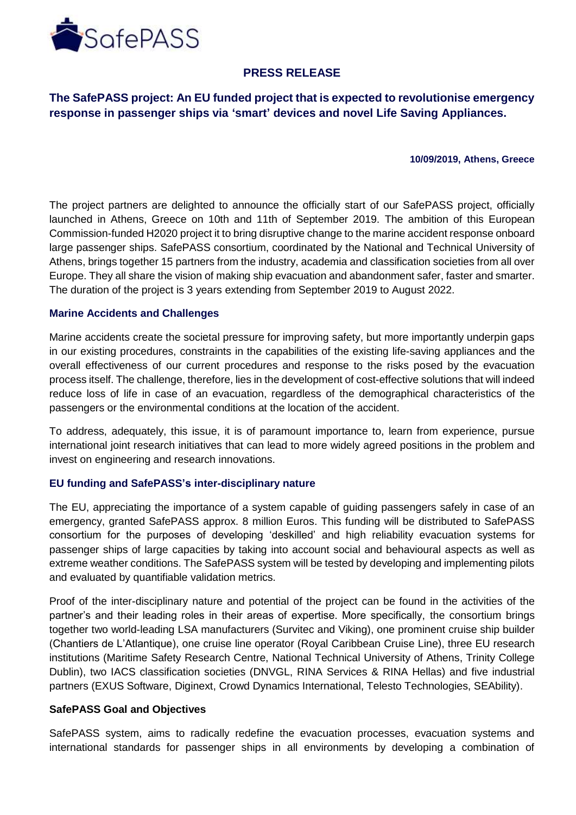

# **PRESS RELEASE**

**The SafePASS project: An EU funded project that is expected to revolutionise emergency response in passenger ships via 'smart' devices and novel Life Saving Appliances.**

### **10/09/2019, Athens, Greece**

The project partners are delighted to announce the officially start of our SafePASS project, officially launched in Athens, Greece on 10th and 11th of September 2019. The ambition of this European Commission-funded H2020 project it to bring disruptive change to the marine accident response onboard large passenger ships. SafePASS consortium, coordinated by the National and Technical University of Athens, brings together 15 partners from the industry, academia and classification societies from all over Europe. They all share the vision of making ship evacuation and abandonment safer, faster and smarter. The duration of the project is 3 years extending from September 2019 to August 2022.

### **Marine Accidents and Challenges**

Marine accidents create the societal pressure for improving safety, but more importantly underpin gaps in our existing procedures, constraints in the capabilities of the existing life-saving appliances and the overall effectiveness of our current procedures and response to the risks posed by the evacuation process itself. The challenge, therefore, lies in the development of cost-effective solutions that will indeed reduce loss of life in case of an evacuation, regardless of the demographical characteristics of the passengers or the environmental conditions at the location of the accident.

To address, adequately, this issue, it is of paramount importance to, learn from experience, pursue international joint research initiatives that can lead to more widely agreed positions in the problem and invest on engineering and research innovations.

### **EU funding and SafePASS's inter-disciplinary nature**

The EU, appreciating the importance of a system capable of guiding passengers safely in case of an emergency, granted SafePASS approx. 8 million Euros. This funding will be distributed to SafePASS consortium for the purposes of developing 'deskilled' and high reliability evacuation systems for passenger ships of large capacities by taking into account social and behavioural aspects as well as extreme weather conditions. The SafePASS system will be tested by developing and implementing pilots and evaluated by quantifiable validation metrics.

Proof of the inter-disciplinary nature and potential of the project can be found in the activities of the partner's and their leading roles in their areas of expertise. More specifically, the consortium brings together two world-leading LSA manufacturers (Survitec and Viking), one prominent cruise ship builder (Chantiers de L'Atlantique), one cruise line operator (Royal Caribbean Cruise Line), three EU research institutions (Maritime Safety Research Centre, National Technical University of Athens, Trinity College Dublin), two IACS classification societies (DNVGL, RINA Services & RINA Hellas) and five industrial partners (EXUS Software, Diginext, Crowd Dynamics International, Telesto Technologies, SEAbility).

### **SafePASS Goal and Objectives**

SafePASS system, aims to radically redefine the evacuation processes, evacuation systems and international standards for passenger ships in all environments by developing a combination of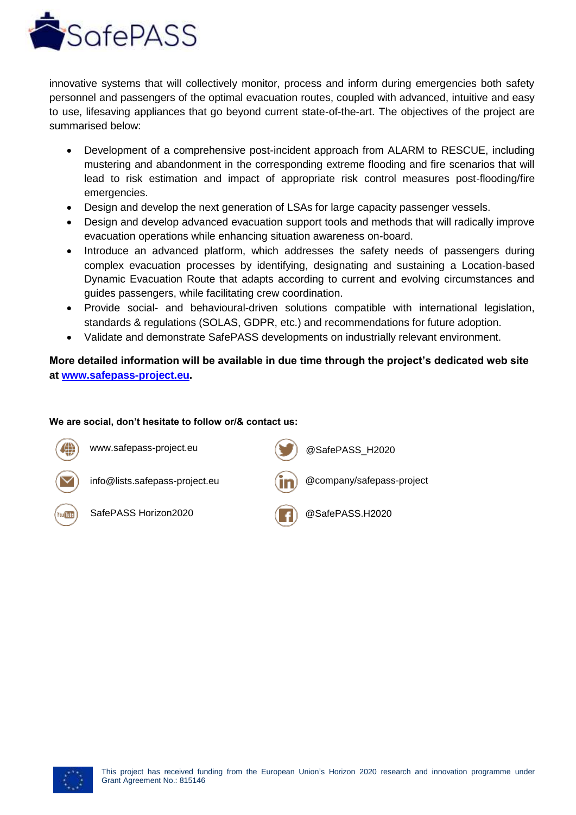

innovative systems that will collectively monitor, process and inform during emergencies both safety personnel and passengers of the optimal evacuation routes, coupled with advanced, intuitive and easy to use, lifesaving appliances that go beyond current state-of-the-art. The objectives of the project are summarised below:

- Development of a comprehensive post-incident approach from ALARM to RESCUE, including mustering and abandonment in the corresponding extreme flooding and fire scenarios that will lead to risk estimation and impact of appropriate risk control measures post-flooding/fire emergencies.
- Design and develop the next generation of LSAs for large capacity passenger vessels.
- Design and develop advanced evacuation support tools and methods that will radically improve evacuation operations while enhancing situation awareness on-board.
- Introduce an advanced platform, which addresses the safety needs of passengers during complex evacuation processes by identifying, designating and sustaining a Location-based Dynamic Evacuation Route that adapts according to current and evolving circumstances and guides passengers, while facilitating crew coordination.
- Provide social- and behavioural-driven solutions compatible with international legislation, standards & regulations (SOLAS, GDPR, etc.) and recommendations for future adoption.
- Validate and demonstrate SafePASS developments on industrially relevant environment.

## **More detailed information will be available in due time through the project's dedicated web site at www.safepass-project.eu.**

### **We are social, don't hesitate to follow or/& contact us:**